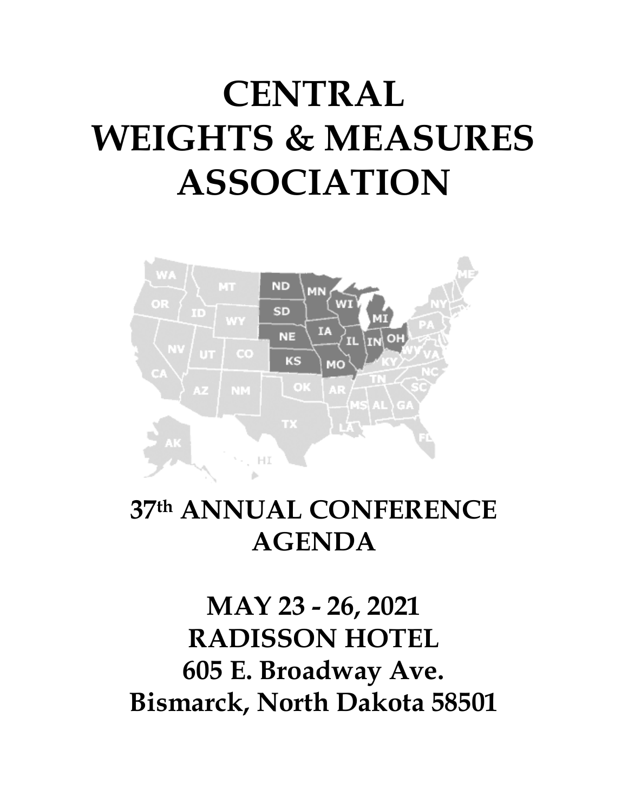# **CENTRAL WEIGHTS & MEASURES ASSOCIATION**



### 37th ANNUAL CONFERENCE **AGENDA**

## MAY 23 - 26, 2021 **RADISSON HOTEL** 605 E. Broadway Ave. **Bismarck, North Dakota 58501**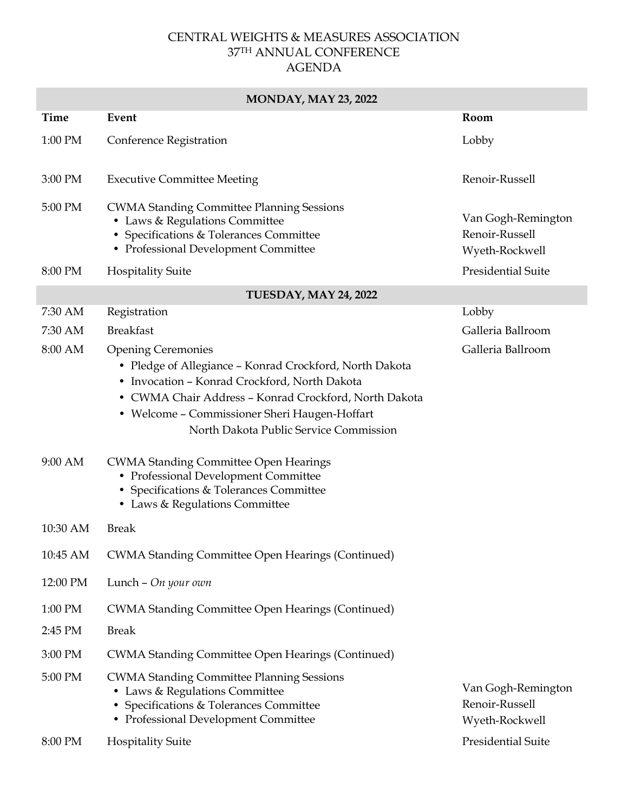#### CENTRAL WEIGHTS & MEASURES ASSOCIATION 37TH ANNUAL CONFERENCE AGENDA

### **MONDAY, MAY 23, 2022 Time Event Room** 1:00 PM Conference Registration Lobby 3:00 PM Executive Committee Meeting Theorem 2.00 PM Renoir-Russell 5:00 PM CWMA Standing Committee Planning Sessions • Laws & Regulations Committee • Specifications & Tolerances Committee • Professional Development Committee Van Gogh-Remington Renoir-Russell Wyeth-Rockwell 8:00 PM Hospitality Suite Presidential Suite **TUESDAY, MAY 24, 2022** 7:30 AM Registration Lobby 7:30 AM Breakfast Galleria Ballroom 8:00 AM Opening Ceremonies • Pledge of Allegiance – Konrad Crockford, North Dakota • Invocation – Konrad Crockford, North Dakota • CWMA Chair Address – Konrad Crockford, North Dakota • Welcome – Commissioner Sheri Haugen-Hoffart North Dakota Public Service Commission Galleria Ballroom 9:00 AM CWMA Standing Committee Open Hearings • Professional Development Committee • Specifications & Tolerances Committee • Laws & Regulations Committee 10:30 AM Break 10:45 AM CWMA Standing Committee Open Hearings (Continued) 12:00 PM Lunch – *On your own* 1:00 PM CWMA Standing Committee Open Hearings (Continued) 2:45 PM Break 3:00 PM CWMA Standing Committee Open Hearings (Continued) 5:00 PM CWMA Standing Committee Planning Sessions • Laws & Regulations Committee • Specifications & Tolerances Committee • Professional Development Committee Van Gogh-Remington Renoir-Russell Wyeth-Rockwell 8:00 PM Hospitality Suite **Presidential Suite** Presidential Suite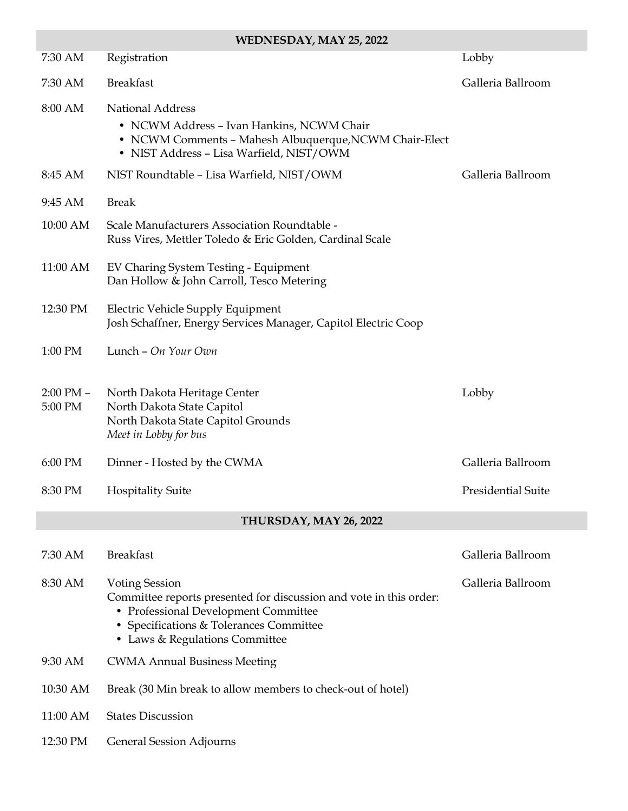| WEDNESDAY, MAY 25, 2022  |                                                                                                                                                                                                                  |                           |
|--------------------------|------------------------------------------------------------------------------------------------------------------------------------------------------------------------------------------------------------------|---------------------------|
| 7:30 AM                  | Registration                                                                                                                                                                                                     | Lobby                     |
| 7:30 AM                  | <b>Breakfast</b>                                                                                                                                                                                                 | Galleria Ballroom         |
| 8:00 AM                  | <b>National Address</b><br>• NCWM Address - Ivan Hankins, NCWM Chair<br>• NCWM Comments - Mahesh Albuquerque, NCWM Chair-Elect<br>• NIST Address - Lisa Warfield, NIST/OWM                                       |                           |
| 8:45 AM                  | NIST Roundtable - Lisa Warfield, NIST/OWM                                                                                                                                                                        | Galleria Ballroom         |
| 9:45 AM                  | <b>Break</b>                                                                                                                                                                                                     |                           |
| 10:00 AM                 | Scale Manufacturers Association Roundtable -<br>Russ Vires, Mettler Toledo & Eric Golden, Cardinal Scale                                                                                                         |                           |
| 11:00 AM                 | EV Charing System Testing - Equipment<br>Dan Hollow & John Carroll, Tesco Metering                                                                                                                               |                           |
| 12:30 PM                 | Electric Vehicle Supply Equipment<br>Josh Schaffner, Energy Services Manager, Capitol Electric Coop                                                                                                              |                           |
| 1:00 PM                  | Lunch - On Your Own                                                                                                                                                                                              |                           |
| $2:00$ PM $-$<br>5:00 PM | North Dakota Heritage Center<br>North Dakota State Capitol<br>North Dakota State Capitol Grounds<br>Meet in Lobby for bus                                                                                        | Lobby                     |
| 6:00 PM                  | Dinner - Hosted by the CWMA                                                                                                                                                                                      | Galleria Ballroom         |
| 8:30 PM                  | <b>Hospitality Suite</b>                                                                                                                                                                                         | <b>Presidential Suite</b> |
| THURSDAY, MAY 26, 2022   |                                                                                                                                                                                                                  |                           |
| 7:30 AM                  | <b>Breakfast</b>                                                                                                                                                                                                 | Galleria Ballroom         |
| 8:30 AM                  | <b>Voting Session</b><br>Committee reports presented for discussion and vote in this order:<br>• Professional Development Committee<br>• Specifications & Tolerances Committee<br>• Laws & Regulations Committee | Galleria Ballroom         |
| 9:30 AM                  | <b>CWMA Annual Business Meeting</b>                                                                                                                                                                              |                           |
| 10:30 AM                 | Break (30 Min break to allow members to check-out of hotel)                                                                                                                                                      |                           |
| 11:00 AM                 | <b>States Discussion</b>                                                                                                                                                                                         |                           |
| 12:30 PM                 | General Session Adjourns                                                                                                                                                                                         |                           |